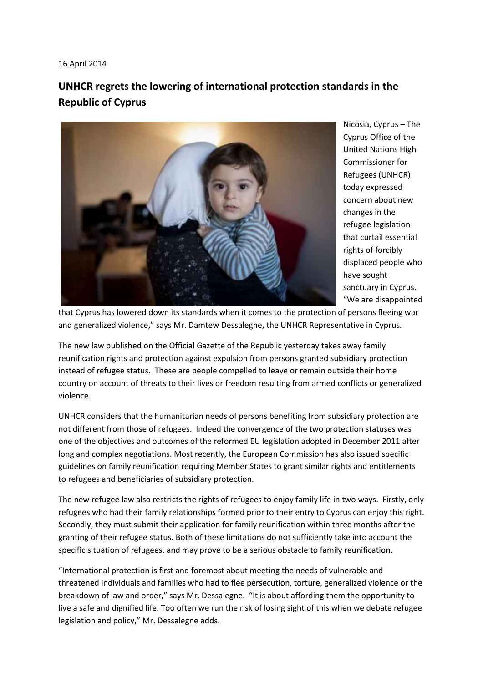## 16 April 2014

## **UNHCR regrets the lowering of international protection standards in the Republic of Cyprus**



Nicosia, Cyprus – The Cyprus Office of the United Nations High Commissioner for Refugees (UNHCR) today expressed concern about new changes in the refugee legislation that curtail essential rights of forcibly displaced people who have sought sanctuary in Cyprus. "We are disappointed

that Cyprus has lowered down its standards when it comes to the protection of persons fleeing war and generalized violence," says Mr. Damtew Dessalegne, the UNHCR Representative in Cyprus.

The new law published on the Official Gazette of the Republic yesterday takes away family reunification rights and protection against expulsion from persons granted subsidiary protection instead of refugee status. These are people compelled to leave or remain outside their home country on account of threats to their lives or freedom resulting from armed conflicts or generalized violence.

UNHCR considers that the humanitarian needs of persons benefiting from subsidiary protection are not different from those of refugees. Indeed the convergence of the two protection statuses was one of the objectives and outcomes of the reformed EU legislation adopted in December 2011 after long and complex negotiations. Most recently, the European Commission has also issued specific guidelines on family reunification requiring Member States to grant similar rights and entitlements to refugees and beneficiaries of subsidiary protection.

The new refugee law also restricts the rights of refugees to enjoy family life in two ways. Firstly, only refugees who had their family relationships formed prior to their entry to Cyprus can enjoy this right. Secondly, they must submit their application for family reunification within three months after the granting of their refugee status. Both of these limitations do not sufficiently take into account the specific situation of refugees, and may prove to be a serious obstacle to family reunification.

"International protection is first and foremost about meeting the needs of vulnerable and threatened individuals and families who had to flee persecution, torture, generalized violence or the breakdown of law and order," says Mr. Dessalegne. "It is about affording them the opportunity to live a safe and dignified life. Too often we run the risk of losing sight of this when we debate refugee legislation and policy," Mr. Dessalegne adds.